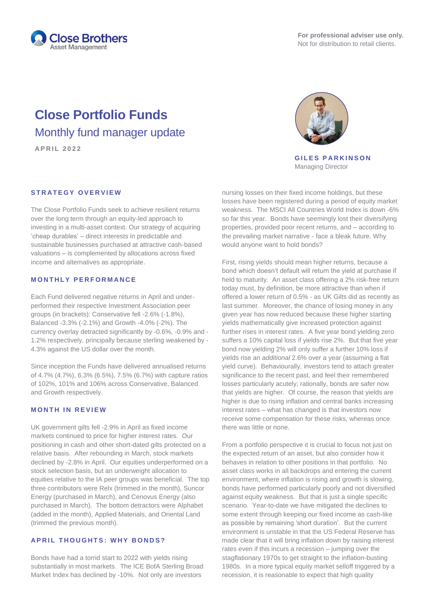

# **Close Portfolio Funds** Monthly fund manager update

**A P R I L 2 0 2 2**

# **STRATEGY OVERVIEW**

The Close Portfolio Funds seek to achieve resilient returns over the long term through an equity-led approach to investing in a multi-asset context. Our strategy of acquiring 'cheap durables' – direct interests in predictable and sustainable businesses purchased at attractive cash-based valuations – is complemented by allocations across fixed income and alternatives as appropriate.

#### **M O N T H L Y P E R F O R M A N C E**

Each Fund delivered negative returns in April and underperformed their respective Investment Association peer groups (in brackets): Conservative fell -2.6% (-1.8%), Balanced -3.3% (-2.1%) and Growth -4.0% (-2%). The currency overlay detracted significantly by -0.6%, -0.9% and - 1.2% respectively, principally because sterling weakened by - 4.3% against the US dollar over the month.

Since inception the Funds have delivered annualised returns of 4.7% (4.7%), 6.3% (6.5%), 7.5% (6.7%) with capture ratios of 102%, 101% and 106% across Conservative, Balanced and Growth respectively.

## **M O N T H I N R E V I E W**

UK government gilts fell -2.9% in April as fixed income markets continued to price for higher interest rates. Our positioning in cash and other short-dated gilts protected on a relative basis. After rebounding in March, stock markets declined by -2.8% in April. Our equities underperformed on a stock selection basis, but an underweight allocation to equities relative to the IA peer groups was beneficial. The top three contributors were Relx (trimmed in the month), Suncor Energy (purchased in March), and Cenovus Energy (also purchased in March). The bottom detractors were Alphabet (added in the month), Applied Materials, and Oriental Land (trimmed the previous month).

# **A P R I L T H O U G H T S : W H Y B O N D S ?**

Bonds have had a torrid start to 2022 with yields rising substantially in most markets. The ICE BofA Sterling Broad Market Index has declined by -10%. Not only are investors



**GILES PARKINSON** Managing Director

nursing losses on their fixed income holdings, but these losses have been registered during a period of equity market weakness. The MSCI All Countries World Index is down -6% so far this year. Bonds have seemingly lost their diversifying properties, provided poor recent returns, and – according to the prevailing market narrative - face a bleak future. Why would anyone want to hold bonds?

First, rising yields should mean higher returns, because a bond which doesn't default will return the yield at purchase if held to maturity. An asset class offering a 2% risk-free return today must, by definition, be more attractive than when if offered a lower return of 0.5% - as UK Gilts did as recently as last summer. Moreover, the chance of losing money in any given year has now reduced because these higher starting yields mathematically give increased protection against further rises in interest rates. A five year bond yielding zero suffers a 10% capital loss if yields rise 2%. But that five year bond now yielding 2% will only suffer a further 10% loss if yields rise an *additional* 2.6% over a year (assuming a flat yield curve). Behaviourally, investors tend to attach greater significance to the recent past, and feel their remembered losses particularly acutely; rationally, bonds are safer now that yields are higher. Of course, the reason that yields are higher is due to rising inflation and central banks increasing interest rates – what has changed is that investors now receive some compensation for these risks, whereas once there was little or none.

From a portfolio perspective it is crucial to focus not just on the expected return of an asset, but also consider how it behaves in relation to other positions in that portfolio. No asset class works in all backdrops and entering the current environment, where inflation is rising and growth is slowing, bonds have performed particularly poorly and not diversified against equity weakness. But that is just a single specific scenario. Year-to-date we have mitigated the declines to some extent through keeping our fixed income as cash-like as possible by remaining 'short duration'. But the current environment is unstable in that the US Federal Reserve has made clear that it will bring inflation down by raising interest rates even if this incurs a recession – jumping over the stagflationary 1970s to get straight to the inflation-busting 1980s. In a more typical equity market selloff triggered by a recession, it is reasonable to expect that high quality